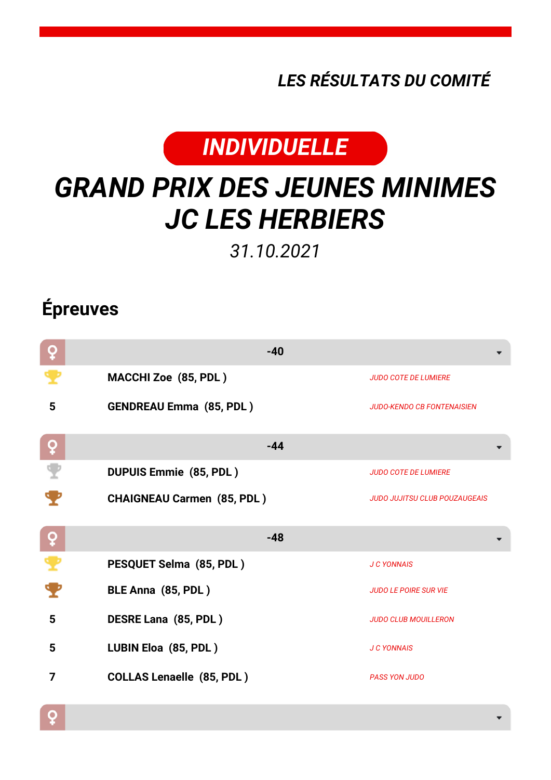*LES RÉSULTATS DU COMITÉ*



## *GRAND PRIX DES JEUNES MINIMES JC LES HERBIERS*

*31.10.2021*

## **Épreuves**

 $\overline{Q}$ 

| ò        | $-40$                             |                                      |
|----------|-----------------------------------|--------------------------------------|
|          | MACCHI Zoe (85, PDL)              | <b>JUDO COTE DE LUMIERE</b>          |
| 5        | <b>GENDREAU Emma (85, PDL)</b>    | <b>JUDO-KENDO CB FONTENAISIEN</b>    |
| ò        | $-44$                             |                                      |
|          | <b>DUPUIS Emmie (85, PDL)</b>     | <b>JUDO COTE DE LUMIERE</b>          |
|          | <b>CHAIGNEAU Carmen (85, PDL)</b> | <b>JUDO JUJITSU CLUB POUZAUGEAIS</b> |
|          |                                   |                                      |
| <b>Q</b> | $-48$                             |                                      |
| т        | PESQUET Selma (85, PDL)           | <b>J C YONNAIS</b>                   |
|          | BLE Anna (85, PDL)                | <b>JUDO LE POIRE SUR VIE</b>         |
| 5        | DESRE Lana (85, PDL)              | <b>JUDO CLUB MOUILLERON</b>          |
| 5        | LUBIN Eloa (85, PDL)              | <b>J C YONNAIS</b>                   |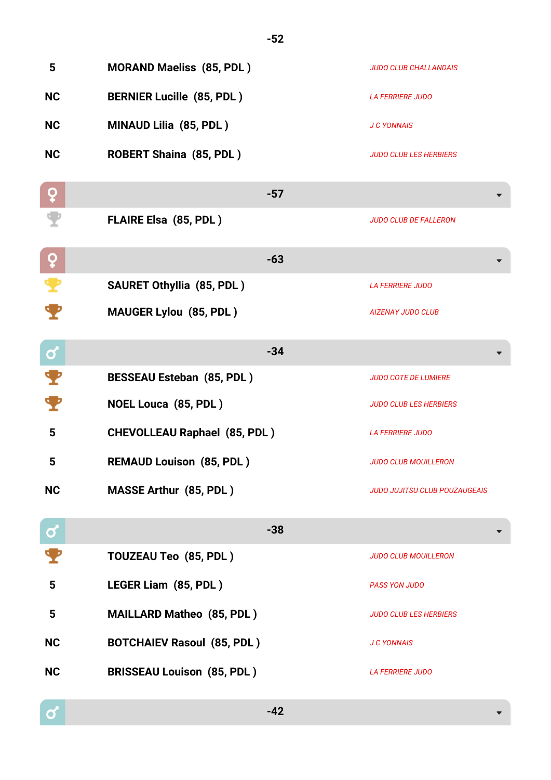| 5                     | <b>MORAND Maeliss (85, PDL)</b>     | <b>JUDO CLUB CHALLANDAIS</b>         |
|-----------------------|-------------------------------------|--------------------------------------|
| <b>NC</b>             | <b>BERNIER Lucille (85, PDL)</b>    | <b>LA FERRIERE JUDO</b>              |
| <b>NC</b>             | MINAUD Lilia (85, PDL)              | <b>J C YONNAIS</b>                   |
| <b>NC</b>             | <b>ROBERT Shaina (85, PDL)</b>      | <b>JUDO CLUB LES HERBIERS</b>        |
| ò                     | $-57$                               |                                      |
|                       | <b>FLAIRE Elsa (85, PDL)</b>        | <b>JUDO CLUB DE FALLERON</b>         |
| ò                     | $-63$                               |                                      |
| $\pmb{\mathcal{P}}$   | <b>SAURET Othyllia (85, PDL)</b>    | <b>LA FERRIERE JUDO</b>              |
|                       | <b>MAUGER Lylou (85, PDL)</b>       | <b>AIZENAY JUDO CLUB</b>             |
| $\boldsymbol{\sigma}$ | $-34$                               |                                      |
| т                     | <b>BESSEAU Esteban (85, PDL)</b>    | <b>JUDO COTE DE LUMIERE</b>          |
| $\mathbf \P$          | <b>NOEL Louca (85, PDL)</b>         | <b>JUDO CLUB LES HERBIERS</b>        |
| 5                     | <b>CHEVOLLEAU Raphael (85, PDL)</b> | <b>LA FERRIERE JUDO</b>              |
| 5                     | <b>REMAUD Louison (85, PDL)</b>     | <b>JUDO CLUB MOUILLERON</b>          |
| <b>NC</b>             | <b>MASSE Arthur (85, PDL)</b>       | <b>JUDO JUJITSU CLUB POUZAUGEAIS</b> |
| $\mathbf{\alpha}$     | $-38$                               |                                      |
|                       | TOUZEAU Teo (85, PDL)               | <b>JUDO CLUB MOUILLERON</b>          |
| $5\phantom{1}$        | LEGER Liam (85, PDL)                | <b>PASS YON JUDO</b>                 |
| 5                     | <b>MAILLARD Matheo (85, PDL)</b>    | <b>JUDO CLUB LES HERBIERS</b>        |
| <b>NC</b>             | <b>BOTCHAIEV Rasoul (85, PDL)</b>   | <b>J C YONNAIS</b>                   |
| <b>NC</b>             | <b>BRISSEAU Louison (85, PDL)</b>   | <b>LA FERRIERE JUDO</b>              |

**-52**

 $\boxed{\mathbf{c}}$ 

**-42**

 $\overline{\phantom{0}}$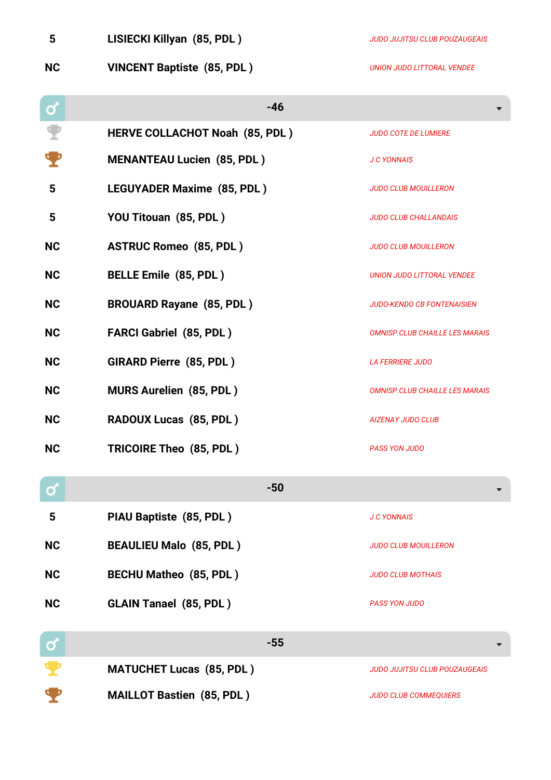| 5            | LISIECKI Killyan (85, PDL)            | <b>JUDO JUJITSU CLUB POUZAUGEAIS</b>  |
|--------------|---------------------------------------|---------------------------------------|
| <b>NC</b>    | <b>VINCENT Baptiste (85, PDL)</b>     | <b>UNION JUDO LITTORAL VENDEE</b>     |
| $\mathbf{Q}$ | $-46$                                 |                                       |
|              | <b>HERVE COLLACHOT Noah (85, PDL)</b> | <b>JUDO COTE DE LUMIERE</b>           |
|              | <b>MENANTEAU Lucien (85, PDL)</b>     | <b>J C YONNAIS</b>                    |
| 5            | <b>LEGUYADER Maxime (85, PDL)</b>     | <b>JUDO CLUB MOUILLERON</b>           |
| 5            | YOU Titouan (85, PDL)                 | <b>JUDO CLUB CHALLANDAIS</b>          |
| <b>NC</b>    | <b>ASTRUC Romeo (85, PDL)</b>         | <b>JUDO CLUB MOUILLERON</b>           |
| <b>NC</b>    | <b>BELLE Emile (85, PDL)</b>          | <b>UNION JUDO LITTORAL VENDEE</b>     |
| <b>NC</b>    | <b>BROUARD Rayane (85, PDL)</b>       | <b>JUDO-KENDO CB FONTENAISIEN</b>     |
| <b>NC</b>    | <b>FARCI Gabriel (85, PDL)</b>        | <b>OMNISP.CLUB CHAILLE LES MARAIS</b> |
| <b>NC</b>    | <b>GIRARD Pierre (85, PDL)</b>        | <b>LA FERRIERE JUDO</b>               |
| <b>NC</b>    | <b>MURS Aurelien (85, PDL)</b>        | <b>OMNISP.CLUB CHAILLE LES MARAIS</b> |
| <b>NC</b>    | RADOUX Lucas (85, PDL)                | <b>AIZENAY JUDO CLUB</b>              |
| <b>NC</b>    | TRICOIRE Theo (85, PDL)               | <b>PASS YON JUDO</b>                  |
| ර            | $-50$                                 |                                       |
| 5            | PIAU Baptiste (85, PDL)               | <b>J C YONNAIS</b>                    |
| <b>NC</b>    | <b>BEAULIEU Malo (85, PDL)</b>        | <b>JUDO CLUB MOUILLERON</b>           |
| <b>NC</b>    | <b>BECHU Matheo (85, PDL)</b>         | <b>JUDO CLUB MOTHAIS</b>              |
| <b>NC</b>    | <b>GLAIN Tanael (85, PDL)</b>         | <b>PASS YON JUDO</b>                  |
|              |                                       |                                       |

| <b>O</b> | -55                              |                                      |
|----------|----------------------------------|--------------------------------------|
|          | <b>MATUCHET Lucas (85, PDL)</b>  | <b>JUDO JUJITSU CLUB POUZAUGEAIS</b> |
|          | <b>MAILLOT Bastien (85, PDL)</b> | <b>JUDO CLUB COMMEQUIERS</b>         |